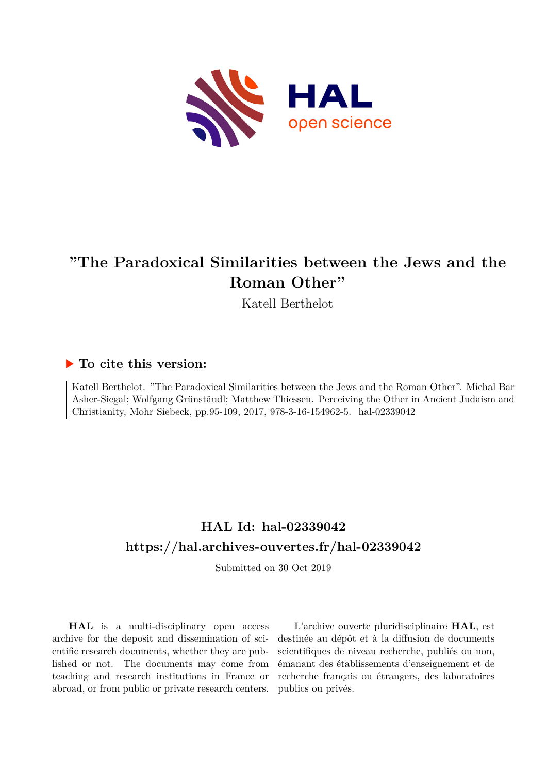

# **"The Paradoxical Similarities between the Jews and the Roman Other"**

Katell Berthelot

## **To cite this version:**

Katell Berthelot. "The Paradoxical Similarities between the Jews and the Roman Other". Michal Bar Asher-Siegal; Wolfgang Grünstäudl; Matthew Thiessen. Perceiving the Other in Ancient Judaism and Christianity, Mohr Siebeck, pp.95-109, 2017, 978-3-16-154962-5. hal-02339042

# **HAL Id: hal-02339042 <https://hal.archives-ouvertes.fr/hal-02339042>**

Submitted on 30 Oct 2019

**HAL** is a multi-disciplinary open access archive for the deposit and dissemination of scientific research documents, whether they are published or not. The documents may come from teaching and research institutions in France or abroad, or from public or private research centers.

L'archive ouverte pluridisciplinaire **HAL**, est destinée au dépôt et à la diffusion de documents scientifiques de niveau recherche, publiés ou non, émanant des établissements d'enseignement et de recherche français ou étrangers, des laboratoires publics ou privés.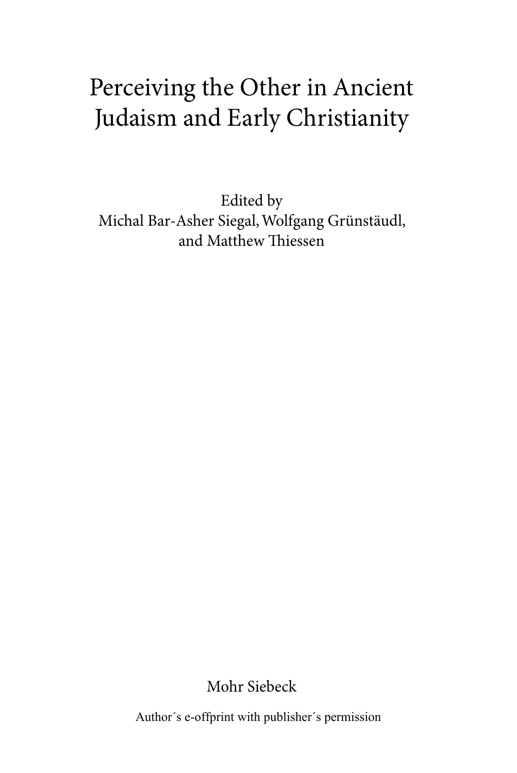# Perceiving the Other in Ancient Judaism and Early Christianity

Edited by Michal Bar-Asher Siegal, Wolfgang Grünstäudl, and Matthew Thiessen

Mohr Siebeck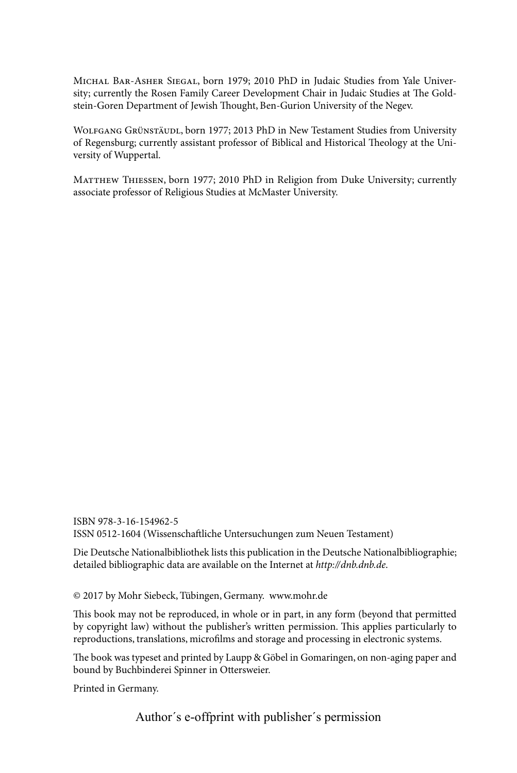Michal Bar-Asher Siegal, born 1979; 2010 PhD in Judaic Studies from Yale University; currently the Rosen Family Career Development Chair in Judaic Studies at The Goldstein-Goren Department of Jewish Thought, Ben-Gurion University of the Negev.

Wolfgang Grünstäudl, born 1977; 2013 PhD in New Testament Studies from University of Regensburg; currently assistant professor of Biblical and Historical Theology at the University of Wuppertal.

Matthew Thiessen, born 1977; 2010 PhD in Religion from Duke University; currently associate professor of Religious Studies at McMaster University.

ISBN 978-3-16-154962-5 ISSN 0512-1604 (Wissenschaftliche Untersuchungen zum Neuen Testament)

Die Deutsche Nationalbibliothek lists this publication in the Deutsche Nationalbibliographie; detailed bibliographic data are available on the Internet at *http://dnb.dnb.de*.

© 2017 by Mohr Siebeck, Tübingen, Germany. www.mohr.de

This book may not be reproduced, in whole or in part, in any form (beyond that permitted by copyright law) without the publisher's written permission. This applies particularly to reproductions, translations, microfilms and storage and processing in electronic systems.

The book was typeset and printed by Laupp & Göbel in Gomaringen, on non-aging paper and bound by Buchbinderei Spinner in Ottersweier.

Printed in Germany.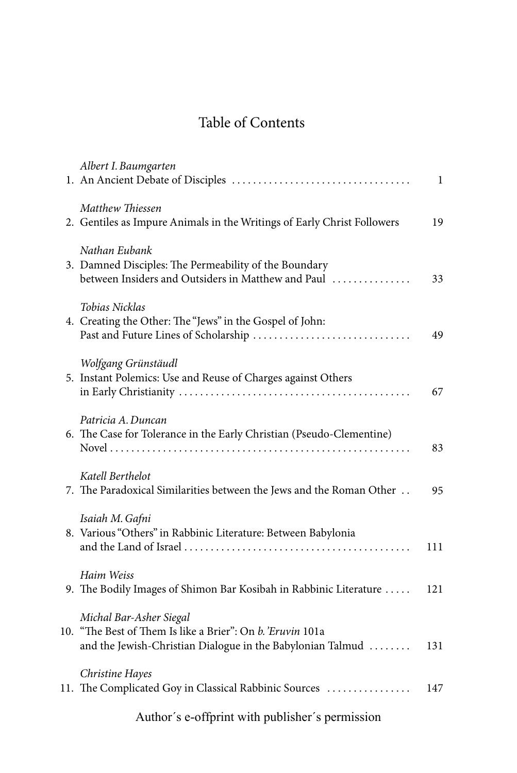## Table of Contents

| Albert I. Baumgarten                                                                                                                                | 1   |
|-----------------------------------------------------------------------------------------------------------------------------------------------------|-----|
| Matthew Thiessen<br>2. Gentiles as Impure Animals in the Writings of Early Christ Followers                                                         | 19  |
| Nathan Eubank<br>3. Damned Disciples: The Permeability of the Boundary<br>between Insiders and Outsiders in Matthew and Paul                        | 33  |
| Tobias Nicklas<br>4. Creating the Other: The "Jews" in the Gospel of John:                                                                          | 49  |
| Wolfgang Grünstäudl<br>5. Instant Polemics: Use and Reuse of Charges against Others                                                                 | 67  |
| Patricia A. Duncan<br>6. The Case for Tolerance in the Early Christian (Pseudo-Clementine)                                                          | 83  |
| Katell Berthelot<br>7. The Paradoxical Similarities between the Jews and the Roman Other                                                            | 95  |
| Isaiah M. Gafni<br>8. Various "Others" in Rabbinic Literature: Between Babylonia                                                                    | 111 |
| Haim Weiss<br>9. The Bodily Images of Shimon Bar Kosibah in Rabbinic Literature                                                                     | 121 |
| Michal Bar-Asher Siegal<br>10. "The Best of Them Is like a Brier": On b. 'Eruvin 101a<br>and the Jewish-Christian Dialogue in the Babylonian Talmud | 131 |
| Christine Hayes<br>11. The Complicated Goy in Classical Rabbinic Sources                                                                            | 147 |
|                                                                                                                                                     |     |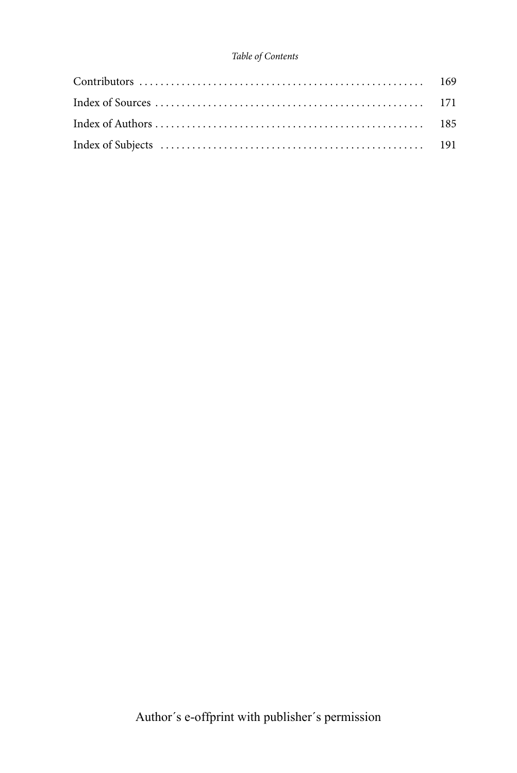#### *Table of Contents*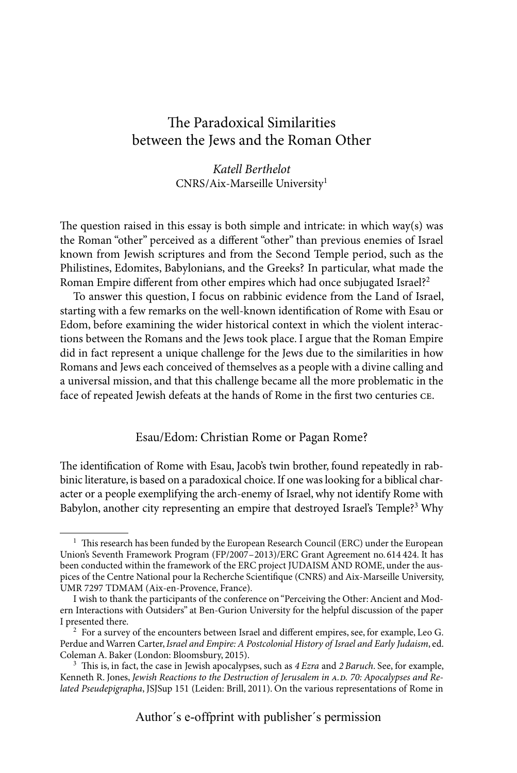### The Paradoxical Similarities between the Jews and the Roman Other

*Katell Berthelot* CNRS/Aix-Marseille University1

The question raised in this essay is both simple and intricate: in which way(s) was the Roman "other" perceived as a different "other" than previous enemies of Israel known from Jewish scriptures and from the Second Temple period, such as the Philistines, Edomites, Babylonians, and the Greeks? In particular, what made the Roman Empire different from other empires which had once subjugated Israel?<sup>2</sup>

To answer this question, I focus on rabbinic evidence from the Land of Israel, starting with a few remarks on the well-known identification of Rome with Esau or Edom, before examining the wider historical context in which the violent interactions between the Romans and the Jews took place. I argue that the Roman Empire did in fact represent a unique challenge for the Jews due to the similarities in how Romans and Jews each conceived of themselves as a people with a divine calling and a universal mission, and that this challenge became all the more problematic in the face of repeated Jewish defeats at the hands of Rome in the first two centuries ce.

Esau/Edom: Christian Rome or Pagan Rome?

The identification of Rome with Esau, Jacob's twin brother, found repeatedly in rabbinic literature, is based on a paradoxical choice. If one was looking for a biblical character or a people exemplifying the arch-enemy of Israel, why not identify Rome with Babylon, another city representing an empire that destroyed Israel's Temple?<sup>3</sup> Why

 $1$  This research has been funded by the European Research Council (ERC) under the European Union's Seventh Framework Program (FP/2007–2013)/ERC Grant Agreement no.614 424. It has been conducted within the framework of the ERC project JUDAISM AND ROME, under the auspices of the Centre National pour la Recherche Scientifique (CNRS) and Aix-Marseille University, UMR 7297 TDMAM (Aix-en-Provence, France).

I wish to thank the participants of the conference on "Perceiving the Other: Ancient and Modern Interactions with Outsiders" at Ben-Gurion University for the helpful discussion of the paper

 $2$  For a survey of the encounters between Israel and different empires, see, for example, Leo G. Perdue and Warren Carter, *Israel and Empire: A Postcolonial History of Israel and Early Judaism*, ed.

<sup>&</sup>lt;sup>3</sup> This is, in fact, the case in Jewish apocalypses, such as  $4 \text{~E}$ zra and  $2 \text{~B}$ aruch. See, for example, Kenneth R. Jones, *Jewish Reactions to the Destruction of Jerusalem in A.D. 70: Apocalypses and Related Pseudepigrapha*, JSJSup 151 (Leiden: Brill, 2011). On the various representations of Rome in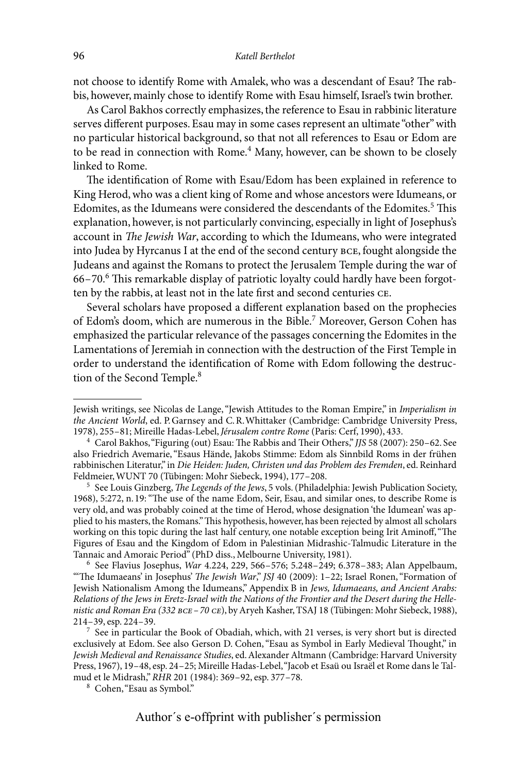not choose to identify Rome with Amalek, who was a descendant of Esau? The rabbis, however, mainly chose to identify Rome with Esau himself, Israel's twin brother.

As Carol Bakhos correctly emphasizes, the reference to Esau in rabbinic literature serves different purposes. Esau may in some cases represent an ultimate "other" with no particular historical background, so that not all references to Esau or Edom are to be read in connection with Rome.<sup>4</sup> Many, however, can be shown to be closely linked to Rome.

The identification of Rome with Esau/Edom has been explained in reference to King Herod, who was a client king of Rome and whose ancestors were Idumeans, or Edomites, as the Idumeans were considered the descendants of the Edomites.<sup>5</sup> This explanation, however, is not particularly convincing, especially in light of Josephus's account in *The Jewish War*, according to which the Idumeans, who were integrated into Judea by Hyrcanus I at the end of the second century bce, fought alongside the Judeans and against the Romans to protect the Jerusalem Temple during the war of 66–70.6 This remarkable display of patriotic loyalty could hardly have been forgotten by the rabbis, at least not in the late first and second centuries ce.

Several scholars have proposed a different explanation based on the prophecies of Edom's doom, which are numerous in the Bible.<sup>7</sup> Moreover, Gerson Cohen has emphasized the particular relevance of the passages concerning the Edomites in the Lamentations of Jeremiah in connection with the destruction of the First Temple in order to understand the identification of Rome with Edom following the destruction of the Second Temple.<sup>8</sup>

<sup>6</sup> See Flavius Josephus, *War* 4.224, 229, 566–576; 5.248–249; 6.378–383; Alan Appelbaum, "'The Idumaeans' in Josephus' *The Jewish War*," *JSJ* 40 (2009): 1–22; Israel Ronen, "Formation of Jewish Nationalism Among the Idumeans," Appendix B in *Jews, Idumaeans, and Ancient Arabs: Relations of the Jews in Eretz-Israel with the Nations of the Frontier and the Desert during the Hellenistic and Roman Era (332 bce–70 ce*), by Aryeh Kasher, TSAJ 18 (Tübingen: Mohr Siebeck, 1988),

 $<sup>7</sup>$  See in particular the Book of Obadiah, which, with 21 verses, is very short but is directed</sup> exclusively at Edom. See also Gerson D. Cohen, "Esau as Symbol in Early Medieval Thought," in *Jewish Medieval and Renaissance Studies*, ed. Alexander Altmann (Cambridge: Harvard University Press, 1967), 19–48, esp. 24–25; Mireille Hadas-Lebel, "Jacob et Esaü ou Israël et Rome dans le Talmud et le Midrash," *RHR* 201 (1984): 369–92, esp. 377–78. <sup>8</sup> Cohen, "Esau as Symbol."

Jewish writings, see Nicolas de Lange, "Jewish Attitudes to the Roman Empire," in *Imperialism in*  the Ancient World, ed. P. Garnsey and C. R. Whittaker (Cambridge: Cambridge University Press, 1978), 255-81; Mireille Hadas-Lebel, Jérusalem contre Rome (Paris: Cerf, 1990), 433.

<sup>1978), 255–81;</sup> Mireille Hadas-Lebel, *Jérusalem contre Rome* (Paris: Cerf, 1990), 433. <sup>4</sup> Carol Bakhos, "Figuring (out) Esau: The Rabbis and Their Others," *JJS* 58 (2007): 250–62. See also Friedrich Avemarie, "Esaus Hände, Jakobs Stimme: Edom als Sinnbild Roms in der frühen rabbinischen Literatur," in *Die Heiden: Juden, Christen und das Problem des Fremden*, ed. Reinhard<br>Feldmeier, WUNT 70 (Tübingen: Mohr Siebeck, 1994), 177-208.

<sup>&</sup>lt;sup>5</sup> See Louis Ginzberg, *The Legends of the Jews*, 5 vols. (Philadelphia: Jewish Publication Society, 1968), 5:272, n.19: "The use of the name Edom, Seir, Esau, and similar ones, to describe Rome is very old, and was probably coined at the time of Herod, whose designation 'the Idumean' was applied to his masters, the Romans." This hypothesis, however, has been rejected by almost all scholars working on this topic during the last half century, one notable exception being Irit Aminoff, "The Figures of Esau and the Kingdom of Edom in Palestinian Midrashic-Talmudic Literature in the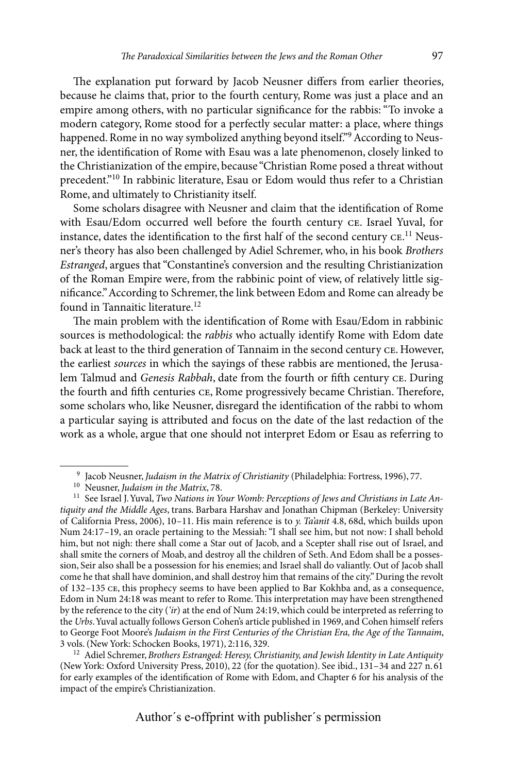The explanation put forward by Jacob Neusner differs from earlier theories, because he claims that, prior to the fourth century, Rome was just a place and an empire among others, with no particular significance for the rabbis: "To invoke a modern category, Rome stood for a perfectly secular matter: a place, where things happened. Rome in no way symbolized anything beyond itself."<sup>9</sup> According to Neusner, the identification of Rome with Esau was a late phenomenon, closely linked to the Christianization of the empire, because "Christian Rome posed a threat without precedent."10 In rabbinic literature, Esau or Edom would thus refer to a Christian Rome, and ultimately to Christianity itself.

Some scholars disagree with Neusner and claim that the identification of Rome with Esau/Edom occurred well before the fourth century ce. Israel Yuval, for instance, dates the identification to the first half of the second century  $CE$ .<sup>11</sup> Neusner's theory has also been challenged by Adiel Schremer, who, in his book *Brothers Estranged*, argues that "Constantine's conversion and the resulting Christianization of the Roman Empire were, from the rabbinic point of view, of relatively little significance." According to Schremer, the link between Edom and Rome can already be found in Tannaitic literature.<sup>12</sup>

The main problem with the identification of Rome with Esau/Edom in rabbinic sources is methodological: the *rabbis* who actually identify Rome with Edom date back at least to the third generation of Tannaim in the second century ce. However, the earliest *sources* in which the sayings of these rabbis are mentioned, the Jerusalem Talmud and *Genesis Rabbah*, date from the fourth or fifth century ce. During the fourth and fifth centuries ce, Rome progressively became Christian. Therefore, some scholars who, like Neusner, disregard the identification of the rabbi to whom a particular saying is attributed and focus on the date of the last redaction of the work as a whole, argue that one should not interpret Edom or Esau as referring to

<sup>&</sup>lt;sup>9</sup> Jacob Neusner, *Judaism in the Matrix of Christianity* (Philadelphia: Fortress, 1996), 77.<br><sup>10</sup> Neusner, *Judaism in the Matrix*, 78.<br><sup>11</sup> See Israel J. Yuval, *Two Nations in Your Womb: Perceptions of Jews and Christ tiquity and the Middle Ages*, trans. Barbara Harshav and Jonathan Chipman (Berkeley: University of California Press, 2006), 10–11. His main reference is to *y. Ta'anit* 4.8, 68d, which builds upon Num 24:17–19, an oracle pertaining to the Messiah: "I shall see him, but not now: I shall behold him, but not nigh: there shall come a Star out of Jacob, and a Scepter shall rise out of Israel, and shall smite the corners of Moab, and destroy all the children of Seth. And Edom shall be a possession, Seir also shall be a possession for his enemies; and Israel shall do valiantly. Out of Jacob shall come he that shall have dominion, and shall destroy him that remains of the city." During the revolt of 132–135 ce, this prophecy seems to have been applied to Bar Kokhba and, as a consequence, Edom in Num 24:18 was meant to refer to Rome. This interpretation may have been strengthened by the reference to the city (*'ir*) at the end of Num 24:19, which could be interpreted as referring to the *Urbs*. Yuval actually follows Gerson Cohen's article published in 1969, and Cohen himself refers to George Foot Moore's *Judaism in the First Centuries of the Christian Era, the Age of the Tannaim*, 3 vols. (New York: Schocken Books, 1971), 2:116, 329.

<sup>12</sup> Adiel Schremer, *Brothers Estranged: Heresy, Christianity, and Jewish Identity in Late Antiquity* (New York: Oxford University Press, 2010), 22 (for the quotation). See ibid., 131–34 and 227 n.61 for early examples of the identification of Rome with Edom, and Chapter 6 for his analysis of the impact of the empire's Christianization.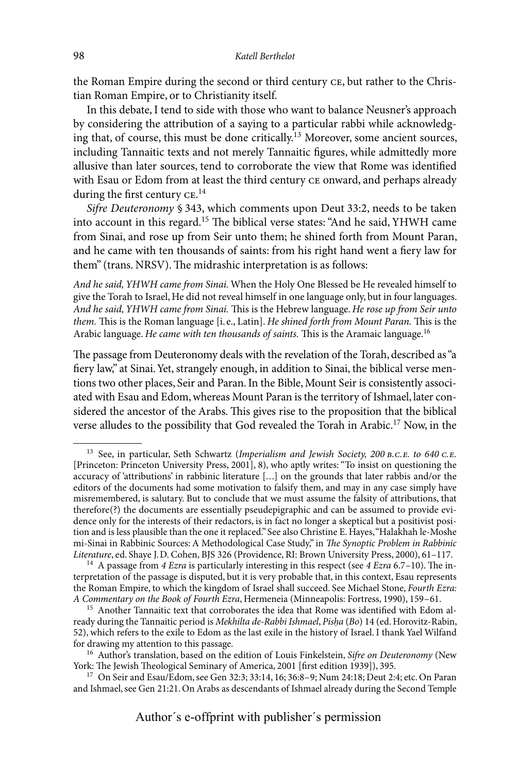the Roman Empire during the second or third century ce, but rather to the Christian Roman Empire, or to Christianity itself.

In this debate, I tend to side with those who want to balance Neusner's approach by considering the attribution of a saying to a particular rabbi while acknowledging that, of course, this must be done critically.13 Moreover, some ancient sources, including Tannaitic texts and not merely Tannaitic figures, while admittedly more allusive than later sources, tend to corroborate the view that Rome was identified with Esau or Edom from at least the third century  $ce$  onward, and perhaps already during the first century  $CE.^{14}$ 

*Sifre Deuteronomy* § 343, which comments upon Deut 33:2, needs to be taken into account in this regard.15 The biblical verse states: "And he said, YHWH came from Sinai, and rose up from Seir unto them; he shined forth from Mount Paran, and he came with ten thousands of saints: from his right hand went a fiery law for them" (trans. NRSV). The midrashic interpretation is as follows:

*And he said, YHWH came from Sinai.* When the Holy One Blessed be He revealed himself to give the Torah to Israel, He did not reveal himself in one language only, but in four languages. *And he said, YHWH came from Sinai.* This is the Hebrew language. *He rose up from Seir unto them.* This is the Roman language [i. e., Latin]. *He shined forth from Mount Paran.* This is the Arabic language. *He came with ten thousands of saints.* This is the Aramaic language.16

The passage from Deuteronomy deals with the revelation of the Torah, described as "a fiery law," at Sinai. Yet, strangely enough, in addition to Sinai, the biblical verse mentions two other places, Seir and Paran. In the Bible, Mount Seir is consistently associated with Esau and Edom, whereas Mount Paran is the territory of Ishmael, later considered the ancestor of the Arabs. This gives rise to the proposition that the biblical verse alludes to the possibility that God revealed the Torah in Arabic.17 Now, in the

<sup>13</sup> See, in particular, Seth Schwartz (*Imperialism and Jewish Society, 200 b.c.e. to 640 c.e.* [Princeton: Princeton University Press, 2001], 8), who aptly writes: "To insist on questioning the accuracy of 'attributions' in rabbinic literature [...] on the grounds that later rabbis and/or the editors of the documents had some motivation to falsify them, and may in any case simply have misremembered, is salutary. But to conclude that we must assume the falsity of attributions, that therefore(?) the documents are essentially pseudepigraphic and can be assumed to provide evidence only for the interests of their redactors, is in fact no longer a skeptical but a positivist position and is less plausible than the one it replaced." See also Christine E. Hayes, "Halakhah le-Moshe mi-Sinai in Rabbinic Sources: A Methodological Case Study," in *The Synoptic Problem in Rabbinic* 

<sup>&</sup>lt;sup>14</sup> A passage from *4 Ezra* is particularly interesting in this respect (see *4 Ezra* 6.7–10). The interpretation of the passage is disputed, but it is very probable that, in this context, Esau represents the Roman Empire, to which the kingdom of Israel shall succeed. See Michael Stone, *Fourth Ezra:* 

<sup>&</sup>lt;sup>15</sup> Another Tannaitic text that corroborates the idea that Rome was identified with Edom already during the Tannaitic period is *Mekhilta de-Rabbi Ishmael*, *Pisha* (Bo) 14 (ed. Horovitz-Rabin, 52), which refers to the exile to Edom as the last exile in the history of Israel. I thank Yael Wilfand

<sup>&</sup>lt;sup>16</sup> Author's translation, based on the edition of Louis Finkelstein, *Sifre on Deuteronomy* (New York: The Jewish Theological Seminary of America, 2001 [first edition 1939]), 395.

<sup>&</sup>lt;sup>17</sup> On Seir and Esau/Edom, see Gen 32:3; 33:14, 16; 36:8–9; Num 24:18; Deut 2:4; etc. On Paran and Ishmael, see Gen 21:21. On Arabs as descendants of Ishmael already during the Second Temple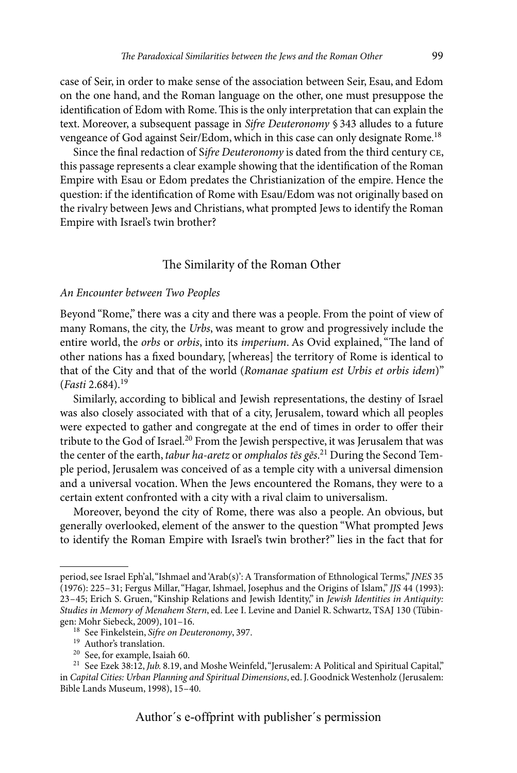case of Seir, in order to make sense of the association between Seir, Esau, and Edom on the one hand, and the Roman language on the other, one must presuppose the identification of Edom with Rome. This is the only interpretation that can explain the text. Moreover, a subsequent passage in *Sifre Deuteronomy* § 343 alludes to a future vengeance of God against Seir/Edom, which in this case can only designate Rome.<sup>18</sup>

Since the final redaction of S*ifre Deuteronomy* is dated from the third century ce, this passage represents a clear example showing that the identification of the Roman Empire with Esau or Edom predates the Christianization of the empire. Hence the question: if the identification of Rome with Esau/Edom was not originally based on the rivalry between Jews and Christians, what prompted Jews to identify the Roman Empire with Israel's twin brother?

#### The Similarity of the Roman Other

#### *An Encounter between Two Peoples*

Beyond "Rome," there was a city and there was a people. From the point of view of many Romans, the city, the *Urbs*, was meant to grow and progressively include the entire world, the *orbs* or *orbis*, into its *imperium*. As Ovid explained, "The land of other nations has a fixed boundary, [whereas] the territory of Rome is identical to that of the City and that of the world (*Romanae spatium est Urbis et orbis idem*)" (*Fasti* 2.684).19

Similarly, according to biblical and Jewish representations, the destiny of Israel was also closely associated with that of a city, Jerusalem, toward which all peoples were expected to gather and congregate at the end of times in order to offer their tribute to the God of Israel.<sup>20</sup> From the Jewish perspective, it was Jerusalem that was the center of the earth, *tabur ha-aretz* or *omphalos tēs gēs*. 21 During the Second Temple period, Jerusalem was conceived of as a temple city with a universal dimension and a universal vocation. When the Jews encountered the Romans, they were to a certain extent confronted with a city with a rival claim to universalism.

Moreover, beyond the city of Rome, there was also a people. An obvious, but generally overlooked, element of the answer to the question "What prompted Jews to identify the Roman Empire with Israel's twin brother?" lies in the fact that for

period, see Israel Eph'al, "Ishmael and 'Arab(s)': A Transformation of Ethnological Terms," *JNES* 35 (1976): 225–31; Fergus Millar, "Hagar, Ishmael, Josephus and the Origins of Islam," *JJS* 44 (1993): 23–45; Erich S. Gruen, "Kinship Relations and Jewish Identity," in *Jewish Identities in Antiquity: Studies in Memory of Menahem Stern*, ed. Lee I. Levine and Daniel R. Schwartz, TSAJ 130 (Tübin-

<sup>&</sup>lt;sup>18</sup> See Finkelstein, *Sifre on Deuteronomy*, 397.<br><sup>19</sup> Author's translation.<br><sup>20</sup> See, for example, Isaiah 60.<br><sup>21</sup> See Ezek 38:12, *Jub.* 8.19, and Moshe Weinfeld, "Jerusalem: A Political and Spiritual Capital," in *Capital Cities: Urban Planning and Spiritual Dimensions*, ed. J.Goodnick Westenholz (Jerusalem: Bible Lands Museum, 1998), 15–40.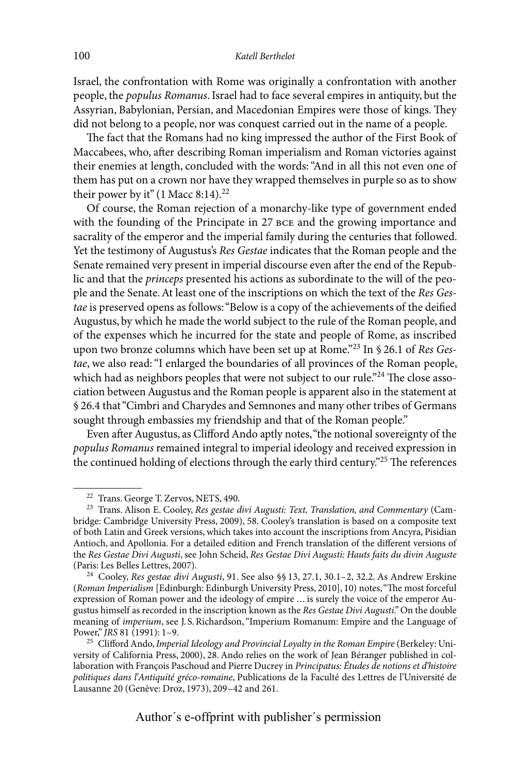Israel, the confrontation with Rome was originally a confrontation with another people, the *populus Romanus*. Israel had to face several empires in antiquity, but the Assyrian, Babylonian, Persian, and Macedonian Empires were those of kings. They did not belong to a people, nor was conquest carried out in the name of a people.

The fact that the Romans had no king impressed the author of the First Book of Maccabees, who, after describing Roman imperialism and Roman victories against their enemies at length, concluded with the words: "And in all this not even one of them has put on a crown nor have they wrapped themselves in purple so as to show their power by it" (1 Macc 8:14).<sup>22</sup>

Of course, the Roman rejection of a monarchy-like type of government ended with the founding of the Principate in 27 BCE and the growing importance and sacrality of the emperor and the imperial family during the centuries that followed. Yet the testimony of Augustus's *Res Gestae* indicates that the Roman people and the Senate remained very present in imperial discourse even after the end of the Republic and that the *princeps* presented his actions as subordinate to the will of the people and the Senate. At least one of the inscriptions on which the text of the *Res Gestae* is preserved opens as follows: "Below is a copy of the achievements of the deified Augustus, by which he made the world subject to the rule of the Roman people, and of the expenses which he incurred for the state and people of Rome, as inscribed upon two bronze columns which have been set up at Rome."23 In § 26.1 of *Res Gestae*, we also read: "I enlarged the boundaries of all provinces of the Roman people, which had as neighbors peoples that were not subject to our rule."<sup>24</sup> The close association between Augustus and the Roman people is apparent also in the statement at § 26.4 that "Cimbri and Charydes and Semnones and many other tribes of Germans sought through embassies my friendship and that of the Roman people."

Even after Augustus, as Clifford Ando aptly notes, "the notional sovereignty of the *populus Romanus* remained integral to imperial ideology and received expression in the continued holding of elections through the early third century."25 The references

<sup>&</sup>lt;sup>22</sup> Trans. George T. Zervos, NETS, 490.<br><sup>23</sup> Trans. Alison E. Cooley, *Res gestae divi Augusti: Text, Translation, and Commentary* (Cambridge: Cambridge University Press, 2009), 58. Cooley's translation is based on a composite text of both Latin and Greek versions, which takes into account the inscriptions from Ancyra, Pisidian Antioch, and Apollonia. For a detailed edition and French translation of the different versions of the *Res Gestae Divi Augusti*, see John Scheid, *Res Gestae Divi Augusti: Hauts faits du divin Auguste*

<sup>&</sup>lt;sup>24</sup> Cooley, *Res gestae divi Augusti*, 91. See also §§ 13, 27.1, 30.1–2, 32.2. As Andrew Erskine (*Roman Imperialism* [Edinburgh: Edinburgh University Press, 2010], 10) notes, "The most forceful expression of Roman power and the ideology of empire ... is surely the voice of the emperor Augustus himself as recorded in the inscription known as the *Res Gestae Divi Augusti*." On the double meaning of *imperium*, see J.S.Richardson, "Imperium Romanum: Empire and the Language of Power," *JRS* 81 (1991): 1-9.

<sup>&</sup>lt;sup>25</sup> Clifford Ando, *Imperial Ideology and Provincial Loyalty in the Roman Empire* (Berkeley: University of California Press, 2000), 28. Ando relies on the work of Jean Béranger published in collaboration with François Paschoud and Pierre Ducrey in *Principatus: Études de notions et d'histoire politiques dans l'Antiquité gréco-romaine*, Publications de la Faculté des Lettres de l'Université de Lausanne 20 (Genève: Droz, 1973), 209–42 and 261.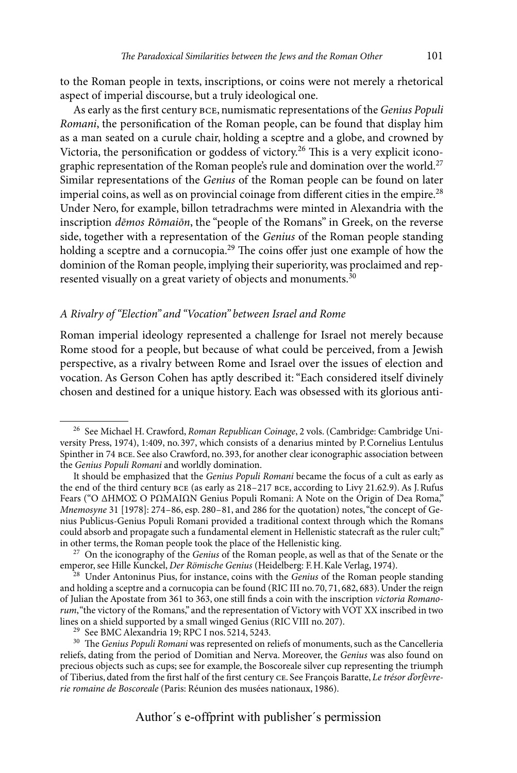to the Roman people in texts, inscriptions, or coins were not merely a rhetorical aspect of imperial discourse, but a truly ideological one.

As early as the first century bce, numismatic representations of the *Genius Populi Romani*, the personification of the Roman people, can be found that display him as a man seated on a curule chair, holding a sceptre and a globe, and crowned by Victoria, the personification or goddess of victory.<sup>26</sup> This is a very explicit iconographic representation of the Roman people's rule and domination over the world.<sup>27</sup> Similar representations of the *Genius* of the Roman people can be found on later imperial coins, as well as on provincial coinage from different cities in the empire.<sup>28</sup> Under Nero, for example, billon tetradrachms were minted in Alexandria with the inscription *dēmos Rōmaiōn*, the "people of the Romans" in Greek, on the reverse side, together with a representation of the *Genius* of the Roman people standing holding a sceptre and a cornucopia.<sup>29</sup> The coins offer just one example of how the dominion of the Roman people, implying their superiority, was proclaimed and represented visually on a great variety of objects and monuments.<sup>30</sup>

#### *A Rivalry of "Election" and "Vocation" between Israel and Rome*

Roman imperial ideology represented a challenge for Israel not merely because Rome stood for a people, but because of what could be perceived, from a Jewish perspective, as a rivalry between Rome and Israel over the issues of election and vocation. As Gerson Cohen has aptly described it: "Each considered itself divinely chosen and destined for a unique history. Each was obsessed with its glorious anti-

<sup>26</sup> See Michael H. Crawford, *Roman Republican Coinage*, 2 vols. (Cambridge: Cambridge University Press, 1974), 1:409, no.397, which consists of a denarius minted by P.Cornelius Lentulus Spinther in 74 bce. See also Crawford, no.393, for another clear iconographic association between the *Genius Populi Romani* and worldly domination.

It should be emphasized that the *Genius Populi Romani* became the focus of a cult as early as the end of the third century bce (as early as 218–217 bce, according to Livy 21.62.9). As J.Rufus Fears ("Ο ΔΗΜΟΣ Ο ΡΩΜΑΙΩΝ Genius Populi Romani: A Note on the Origin of Dea Roma," *Mnemosyne* 31 [1978]: 274–86, esp. 280–81, and 286 for the quotation) notes, "the concept of Genius Publicus-Genius Populi Romani provided a traditional context through which the Romans could absorb and propagate such a fundamental element in Hellenistic statecraft as the ruler cult;"

in other terms, the Roman people took the place of the Hellenistic king.<br><sup>27</sup> On the iconography of the *Genius* of the Roman people, as well as that of the Senate or the<br>emperor, see Hille Kunckel, *Der Römische Genius* (

<sup>&</sup>lt;sup>28</sup> Under Antoninus Pius, for instance, coins with the *Genius* of the Roman people standing and holding a sceptre and a cornucopia can be found (RIC III no.70, 71, 682, 683). Under the reign of Julian the Apostate from 361 to 363, one still finds a coin with the inscription *victoria Romanorum*, "the victory of the Romans," and the representation of Victory with VOT XX inscribed in two lines on a shield supported by a small winged Genius (RIC VIII no. 207).

<sup>&</sup>lt;sup>29</sup> See BMC Alexandria 19; RPC I nos. 5214, 5243. <sup>30</sup> The *Genius Populi Romani* was represented on reliefs of monuments, such as the Cancelleria reliefs, dating from the period of Domitian and Nerva. Moreover, the *Genius* was also found on precious objects such as cups; see for example, the Boscoreale silver cup representing the triumph of Tiberius, dated from the first half of the first century ce. See François Baratte, *Le trésor d'orfèvrerie romaine de Boscoreale* (Paris: Réunion des musées nationaux, 1986).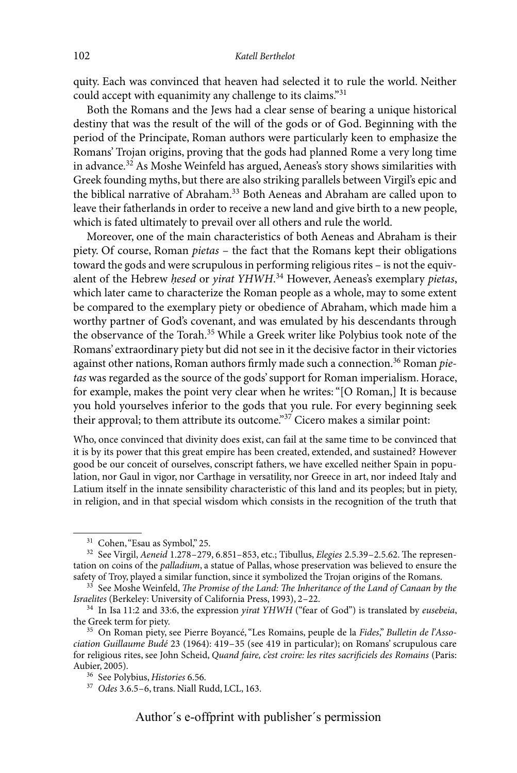quity. Each was convinced that heaven had selected it to rule the world. Neither could accept with equanimity any challenge to its claims."31

Both the Romans and the Jews had a clear sense of bearing a unique historical destiny that was the result of the will of the gods or of God. Beginning with the period of the Principate, Roman authors were particularly keen to emphasize the Romans' Trojan origins, proving that the gods had planned Rome a very long time in advance.32 As Moshe Weinfeld has argued, Aeneas's story shows similarities with Greek founding myths, but there are also striking parallels between Virgil's epic and the biblical narrative of Abraham.<sup>33</sup> Both Aeneas and Abraham are called upon to leave their fatherlands in order to receive a new land and give birth to a new people, which is fated ultimately to prevail over all others and rule the world.

Moreover, one of the main characteristics of both Aeneas and Abraham is their piety. Of course, Roman *pietas* – the fact that the Romans kept their obligations toward the gods and were scrupulous in performing religious rites – is not the equivalent of the Hebrew *hesed* or *yirat YHWH*.<sup>34</sup> However, Aeneas's exemplary *pietas*, which later came to characterize the Roman people as a whole, may to some extent be compared to the exemplary piety or obedience of Abraham, which made him a worthy partner of God's covenant, and was emulated by his descendants through the observance of the Torah.35 While a Greek writer like Polybius took note of the Romans' extraordinary piety but did not see in it the decisive factor in their victories against other nations, Roman authors firmly made such a connection.36 Roman *pietas* was regarded as the source of the gods' support for Roman imperialism. Horace, for example, makes the point very clear when he writes: "[O Roman,] It is because you hold yourselves inferior to the gods that you rule. For every beginning seek their approval; to them attribute its outcome."37 Cicero makes a similar point:

Who, once convinced that divinity does exist, can fail at the same time to be convinced that it is by its power that this great empire has been created, extended, and sustained? However good be our conceit of ourselves, conscript fathers, we have excelled neither Spain in population, nor Gaul in vigor, nor Carthage in versatility, nor Greece in art, nor indeed Italy and Latium itself in the innate sensibility characteristic of this land and its peoples; but in piety, in religion, and in that special wisdom which consists in the recognition of the truth that

<sup>31</sup> Cohen, "Esau as Symbol," 25. <sup>32</sup> See Virgil, *Aeneid* 1.278–279, 6.851–853, etc.; Tibullus, *Elegies* 2.5.39–2.5.62. The representation on coins of the *palladium*, a statue of Pallas, whose preservation was believed to ensure the safety of Troy, played a similar function, since it symbolized the Trojan origins of the Romans.

<sup>&</sup>lt;sup>33</sup> See Moshe Weinfeld, *The Promise of the Land: The Inheritance of the Land of Canaan by the Israelites* (Berkeley: University of California Press, 1993), 2-22.

<sup>&</sup>lt;sup>34</sup> In Isa 11:2 and 33:6, the expression *yirat YHWH* ("fear of God") is translated by *eusebeia*, the Greek term for piety.

<sup>&</sup>lt;sup>35</sup> On Roman piety, see Pierre Boyancé, "Les Romains, peuple de la Fides," Bulletin de l'Asso*ciation Guillaume Budé* 23 (1964): 419–35 (see 419 in particular); on Romans' scrupulous care for religious rites, see John Scheid, *Quand faire, c'est croire: les rites sacrificiels des Romains* (Paris:

<sup>&</sup>lt;sup>36</sup> See Polybius, *Histories* 6.56.<br><sup>37</sup> Odes 3.6.5–6, trans. Niall Rudd, LCL, 163.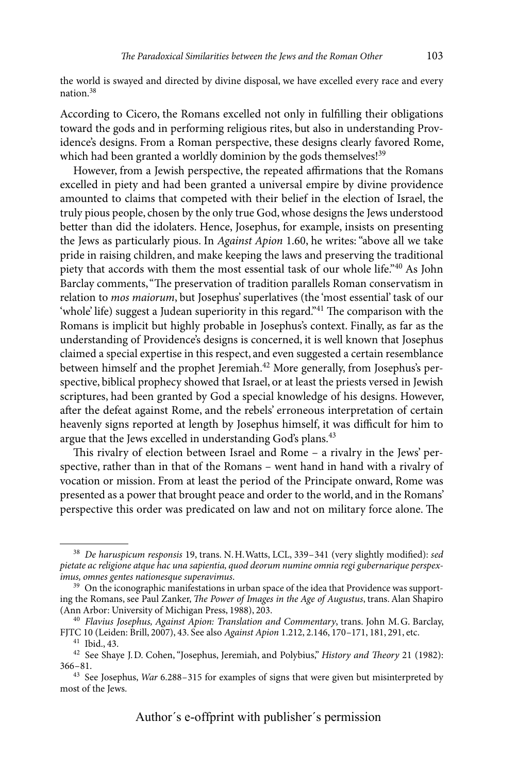the world is swayed and directed by divine disposal, we have excelled every race and every nation.38

According to Cicero, the Romans excelled not only in fulfilling their obligations toward the gods and in performing religious rites, but also in understanding Providence's designs. From a Roman perspective, these designs clearly favored Rome, which had been granted a worldly dominion by the gods themselves!<sup>39</sup>

However, from a Jewish perspective, the repeated affirmations that the Romans excelled in piety and had been granted a universal empire by divine providence amounted to claims that competed with their belief in the election of Israel, the truly pious people, chosen by the only true God, whose designs the Jews understood better than did the idolaters. Hence, Josephus, for example, insists on presenting the Jews as particularly pious. In *Against Apion* 1.60, he writes: "above all we take pride in raising children, and make keeping the laws and preserving the traditional piety that accords with them the most essential task of our whole life."40 As John Barclay comments, "The preservation of tradition parallels Roman conservatism in relation to *mos maiorum*, but Josephus' superlatives (the 'most essential' task of our 'whole' life) suggest a Judean superiority in this regard."<sup>41</sup> The comparison with the Romans is implicit but highly probable in Josephus's context. Finally, as far as the understanding of Providence's designs is concerned, it is well known that Josephus claimed a special expertise in this respect, and even suggested a certain resemblance between himself and the prophet Jeremiah.<sup>42</sup> More generally, from Josephus's perspective, biblical prophecy showed that Israel, or at least the priests versed in Jewish scriptures, had been granted by God a special knowledge of his designs. However, after the defeat against Rome, and the rebels' erroneous interpretation of certain heavenly signs reported at length by Josephus himself, it was difficult for him to argue that the Jews excelled in understanding God's plans.<sup>43</sup>

This rivalry of election between Israel and Rome – a rivalry in the Jews' perspective, rather than in that of the Romans – went hand in hand with a rivalry of vocation or mission. From at least the period of the Principate onward, Rome was presented as a power that brought peace and order to the world, and in the Romans' perspective this order was predicated on law and not on military force alone. The

<sup>38</sup> *De haruspicum responsis* 19, trans. N.H.Watts, LCL, 339–341 (very slightly modified): *sed pietate ac religione atque hac una sapientia, quod deorum numine omnia regi gubernarique perspex-*

<sup>&</sup>lt;sup>39</sup> On the iconographic manifestations in urban space of the idea that Providence was supporting the Romans, see Paul Zanker, *The Power of Images in the Age of Augustus*, trans. Alan Shapiro

<sup>(</sup>Ann Arbor: University of Michigan Press, 1988), 203.<br><sup>40</sup> *Flavius Josephus, Against Apion: Translation and Commentary*, trans. John M.G. Barclay,<br>FJTC 10 (Leiden: Brill, 2007), 43. See also *Against Apion* 1.212, 2.146,

FJTC 10 (Leiden: Brill, 2007), 43. See also *Against Apion* 1.212, 2.146, 170–171, 181, 291, etc. <sup>41</sup> Ibid., 43. <sup>42</sup> See Shaye J.D. Cohen, "Josephus, Jeremiah, and Polybius," *History and Theory* 21 (1982): 366–81.

<sup>43</sup> See Josephus, *War* 6.288–315 for examples of signs that were given but misinterpreted by most of the Jews.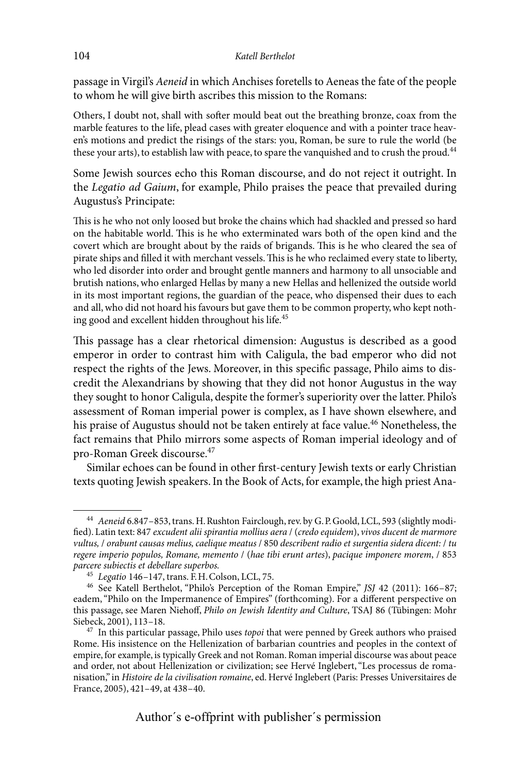#### 104 *Katell Berthelot*

passage in Virgil's *Aeneid* in which Anchises foretells to Aeneas the fate of the people to whom he will give birth ascribes this mission to the Romans:

Others, I doubt not, shall with softer mould beat out the breathing bronze, coax from the marble features to the life, plead cases with greater eloquence and with a pointer trace heaven's motions and predict the risings of the stars: you, Roman, be sure to rule the world (be these your arts), to establish law with peace, to spare the vanquished and to crush the proud.<sup>44</sup>

Some Jewish sources echo this Roman discourse, and do not reject it outright. In the *Legatio ad Gaium*, for example, Philo praises the peace that prevailed during Augustus's Principate:

This is he who not only loosed but broke the chains which had shackled and pressed so hard on the habitable world. This is he who exterminated wars both of the open kind and the covert which are brought about by the raids of brigands. This is he who cleared the sea of pirate ships and filled it with merchant vessels. This is he who reclaimed every state to liberty, who led disorder into order and brought gentle manners and harmony to all unsociable and brutish nations, who enlarged Hellas by many a new Hellas and hellenized the outside world in its most important regions, the guardian of the peace, who dispensed their dues to each and all, who did not hoard his favours but gave them to be common property, who kept nothing good and excellent hidden throughout his life.<sup>45</sup>

This passage has a clear rhetorical dimension: Augustus is described as a good emperor in order to contrast him with Caligula, the bad emperor who did not respect the rights of the Jews. Moreover, in this specific passage, Philo aims to discredit the Alexandrians by showing that they did not honor Augustus in the way they sought to honor Caligula, despite the former's superiority over the latter. Philo's assessment of Roman imperial power is complex, as I have shown elsewhere, and his praise of Augustus should not be taken entirely at face value.<sup>46</sup> Nonetheless, the fact remains that Philo mirrors some aspects of Roman imperial ideology and of pro-Roman Greek discourse.47

Similar echoes can be found in other first-century Jewish texts or early Christian texts quoting Jewish speakers. In the Book of Acts, for example, the high priest Ana-

<sup>44</sup> *Aeneid* 6.847–853, trans. H.Rushton Fairclough, rev. by G.P.Goold, LCL, 593 (slightly modified). Latin text: 847 *excudent alii spirantia mollius aera* / (*credo equidem*), *vivos ducent de marmore vultus,* / *orabunt causas melius, caelique meatus* / 850 *describent radio et surgentia sidera dicent:* / *tu regere imperio populos, Romane, memento* / (*hae tibi erunt artes*), *pacique imponere morem*, / 853

*parcere subiectis et debellare superbos.* <sup>45</sup> *Legatio* 146–147, trans. F.H.Colson, LCL, 75. <sup>46</sup> See Katell Berthelot, "Philo's Perception of the Roman Empire," *JSJ* 42 (2011): 166–87; eadem, "Philo on the Impermanence of Empires" (forthcoming). For a different perspective on this passage, see Maren Niehoff, *Philo on Jewish Identity and Culture*, TSAJ 86 (Tübingen: Mohr

<sup>&</sup>lt;sup>47</sup> In this particular passage, Philo uses *topoi* that were penned by Greek authors who praised Rome. His insistence on the Hellenization of barbarian countries and peoples in the context of empire, for example, is typically Greek and not Roman. Roman imperial discourse was about peace and order, not about Hellenization or civilization; see Hervé Inglebert, "Les processus de romanisation," in *Histoire de la civilisation romaine*, ed. Hervé Inglebert (Paris: Presses Universitaires de France, 2005), 421–49, at 438–40.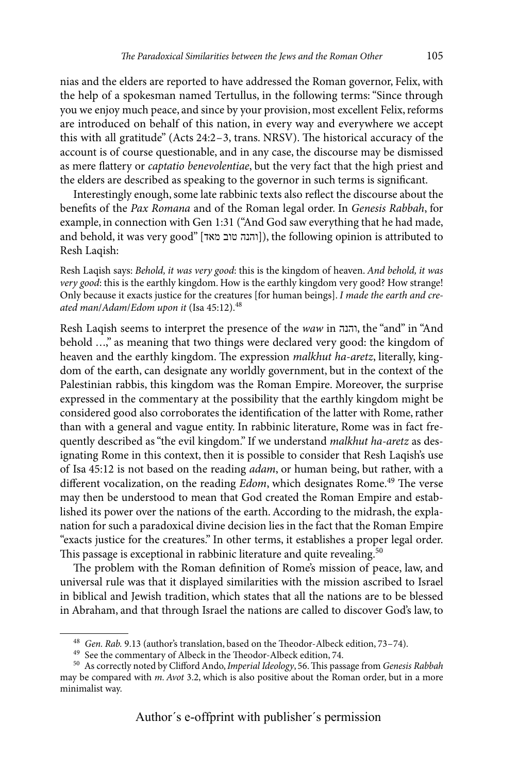nias and the elders are reported to have addressed the Roman governor, Felix, with the help of a spokesman named Tertullus, in the following terms: "Since through you we enjoy much peace, and since by your provision, most excellent Felix, reforms are introduced on behalf of this nation, in every way and everywhere we accept this with all gratitude" (Acts 24:2–3, trans. NRSV). The historical accuracy of the account is of course questionable, and in any case, the discourse may be dismissed as mere flattery or *captatio benevolentiae*, but the very fact that the high priest and the elders are described as speaking to the governor in such terms is significant.

Interestingly enough, some late rabbinic texts also reflect the discourse about the benefits of the *Pax Romana* and of the Roman legal order. In *Genesis Rabbah*, for example, in connection with Gen 1:31 ("And God saw everything that he had made, and behold, it was very good" [והנה טוב מאד]), the following opinion is attributed to Resh Laqish:

Resh Laqish says: *Behold, it was very good*: this is the kingdom of heaven. *And behold, it was very good*: this is the earthly kingdom. How is the earthly kingdom very good? How strange! Only because it exacts justice for the creatures [for human beings]. *I made the earth and created man*/*Adam*/*Edom upon it* (Isa 45:12).48

Resh Laqish seems to interpret the presence of the *waw* in והנה, the "and" in "And behold ...," as meaning that two things were declared very good: the kingdom of heaven and the earthly kingdom. The expression *malkhut ha-aretz*, literally, kingdom of the earth, can designate any worldly government, but in the context of the Palestinian rabbis, this kingdom was the Roman Empire. Moreover, the surprise expressed in the commentary at the possibility that the earthly kingdom might be considered good also corroborates the identification of the latter with Rome, rather than with a general and vague entity. In rabbinic literature, Rome was in fact frequently described as "the evil kingdom." If we understand *malkhut ha-aretz* as designating Rome in this context, then it is possible to consider that Resh Laqish's use of Isa 45:12 is not based on the reading *adam*, or human being, but rather, with a different vocalization, on the reading *Edom*, which designates Rome.<sup>49</sup> The verse may then be understood to mean that God created the Roman Empire and established its power over the nations of the earth. According to the midrash, the explanation for such a paradoxical divine decision lies in the fact that the Roman Empire "exacts justice for the creatures." In other terms, it establishes a proper legal order. This passage is exceptional in rabbinic literature and quite revealing.<sup>50</sup>

The problem with the Roman definition of Rome's mission of peace, law, and universal rule was that it displayed similarities with the mission ascribed to Israel in biblical and Jewish tradition, which states that all the nations are to be blessed in Abraham, and that through Israel the nations are called to discover God's law, to

<sup>&</sup>lt;sup>48</sup> Gen. Rab. 9.13 (author's translation, based on the Theodor-Albeck edition, 73–74).<br><sup>49</sup> See the commentary of Albeck in the Theodor-Albeck edition, 74.<br><sup>50</sup> As correctly noted by Clifford Ando, *Imperial Ideology*, 5 may be compared with *m. Avot* 3.2, which is also positive about the Roman order, but in a more minimalist way.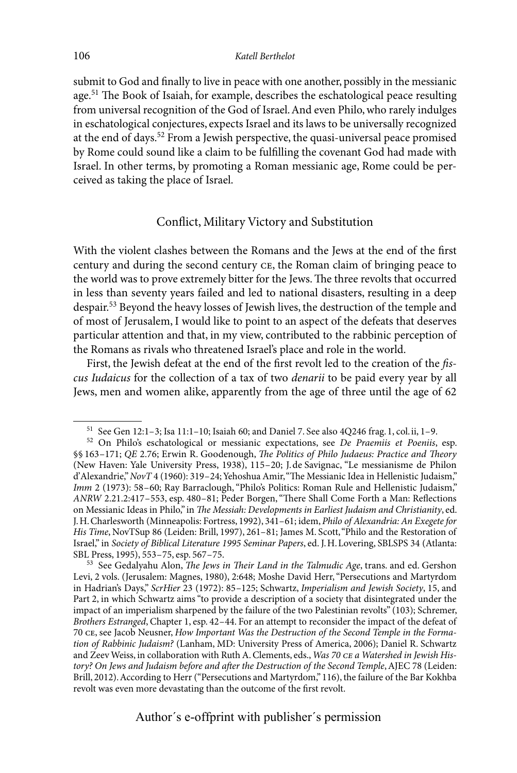#### 106 *Katell Berthelot*

submit to God and finally to live in peace with one another, possibly in the messianic age.51 The Book of Isaiah, for example, describes the eschatological peace resulting from universal recognition of the God of Israel. And even Philo, who rarely indulges in eschatological conjectures, expects Israel and its laws to be universally recognized at the end of days.52 From a Jewish perspective, the quasi-universal peace promised by Rome could sound like a claim to be fulfilling the covenant God had made with Israel. In other terms, by promoting a Roman messianic age, Rome could be perceived as taking the place of Israel.

#### Conflict, Military Victory and Substitution

With the violent clashes between the Romans and the Jews at the end of the first century and during the second century ce, the Roman claim of bringing peace to the world was to prove extremely bitter for the Jews. The three revolts that occurred in less than seventy years failed and led to national disasters, resulting in a deep despair.53 Beyond the heavy losses of Jewish lives, the destruction of the temple and of most of Jerusalem, I would like to point to an aspect of the defeats that deserves particular attention and that, in my view, contributed to the rabbinic perception of the Romans as rivals who threatened Israel's place and role in the world.

First, the Jewish defeat at the end of the first revolt led to the creation of the *fiscus Iudaicus* for the collection of a tax of two *denarii* to be paid every year by all Jews, men and women alike, apparently from the age of three until the age of 62

<sup>51</sup> See Gen 12:1–3; Isa 11:1–10; Isaiah 60; and Daniel 7. See also 4Q246 frag.1, col.ii, 1–9. <sup>52</sup> On Philo's eschatological or messianic expectations, see *De Praemiis et Poeniis*, esp. §§ 163–171; *QE* 2.76; Erwin R. Goodenough, *The Politics of Philo Judaeus: Practice and Theory* (New Haven: Yale University Press, 1938), 115–20; J.de Savignac, "Le messianisme de Philon d'Alexandrie," *NovT* 4 (1960): 319–24; Yehoshua Amir, "The Messianic Idea in Hellenistic Judaism," *Imm* 2 (1973): 58–60; Ray Barraclough, "Philo's Politics: Roman Rule and Hellenistic Judaism," *ANRW* 2.21.2:417–553, esp. 480–81; Peder Borgen, "There Shall Come Forth a Man: Reflections on Messianic Ideas in Philo," in *The Messiah: Developments in Earliest Judaism and Christianity*, ed. J.H.Charlesworth (Minneapolis: Fortress, 1992), 341–61; idem, *Philo of Alexandria: An Exegete for His Time*, NovTSup 86 (Leiden: Brill, 1997), 261–81; James M. Scott, "Philo and the Restoration of Israel," in *Society of Biblical Literature 1995 Seminar Papers*, ed. J.H.Lovering, SBLSPS 34 (Atlanta:

<sup>53</sup> See Gedalyahu Alon, *The Jews in Their Land in the Talmudic Age*, trans. and ed. Gershon Levi, 2 vols. (Jerusalem: Magnes, 1980), 2:648; Moshe David Herr, "Persecutions and Martyrdom in Hadrian's Days," *ScrHier* 23 (1972): 85–125; Schwartz, *Imperialism and Jewish Society*, 15, and Part 2, in which Schwartz aims "to provide a description of a society that disintegrated under the impact of an imperialism sharpened by the failure of the two Palestinian revolts" (103); Schremer, *Brothers Estranged*, Chapter 1, esp. 42–44. For an attempt to reconsider the impact of the defeat of 70 ce, see Jacob Neusner, *How Important Was the Destruction of the Second Temple in the Formation of Rabbinic Judaism?* (Lanham, MD: University Press of America, 2006); Daniel R. Schwartz and Zeev Weiss, in collaboration with Ruth A. Clements, eds., *Was 70 ce a Watershed in Jewish History? On Jews and Judaism before and after the Destruction of the Second Temple*, AJEC 78 (Leiden: Brill, 2012). According to Herr ("Persecutions and Martyrdom," 116), the failure of the Bar Kokhba revolt was even more devastating than the outcome of the first revolt.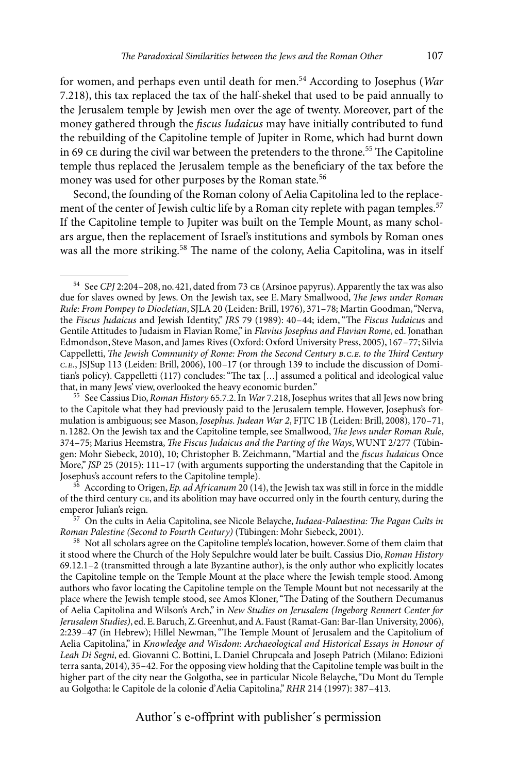for women, and perhaps even until death for men.54 According to Josephus (*War* 7.218), this tax replaced the tax of the half-shekel that used to be paid annually to the Jerusalem temple by Jewish men over the age of twenty. Moreover, part of the money gathered through the *fiscus Iudaicus* may have initially contributed to fund the rebuilding of the Capitoline temple of Jupiter in Rome, which had burnt down in 69 ce during the civil war between the pretenders to the throne.<sup>55</sup> The Capitoline temple thus replaced the Jerusalem temple as the beneficiary of the tax before the money was used for other purposes by the Roman state.<sup>56</sup>

Second, the founding of the Roman colony of Aelia Capitolina led to the replacement of the center of Jewish cultic life by a Roman city replete with pagan temples.<sup>57</sup> If the Capitoline temple to Jupiter was built on the Temple Mount, as many scholars argue, then the replacement of Israel's institutions and symbols by Roman ones was all the more striking.<sup>58</sup> The name of the colony, Aelia Capitolina, was in itself

<sup>54</sup> See *CPJ* 2:204–208, no.421, dated from 73 ce (Arsinoe papyrus). Apparently the tax was also due for slaves owned by Jews. On the Jewish tax, see E.Mary Smallwood, *The Jews under Roman Rule: From Pompey to Diocletian*, SJLA 20 (Leiden: Brill, 1976), 371–78; Martin Goodman, "Nerva, the *Fiscus Judaicus* and Jewish Identity," *JRS* 79 (1989): 40–44; idem, "The *Fiscus Iudaicu*s and Gentile Attitudes to Judaism in Flavian Rome," in *Flavius Josephus and Flavian Rome*, ed. Jonathan Edmondson, Steve Mason, and James Rives (Oxford: Oxford University Press, 2005), 167–77; Silvia Cappelletti, *The Jewish Community of Rome: From the Second Century b.c.e. to the Third Century c.e.*, JSJSup 113 (Leiden: Brill, 2006), 100–17 (or through 139 to include the discussion of Domitian's policy). Cappelletti (117) concludes: "The tax [...] assumed a political and ideological value that, in many Jews' view, overlooked the heavy economic burden."

<sup>55</sup> See Cassius Dio, *Roman History* 65.7.2. In *War* 7.218, Josephus writes that all Jews now bring to the Capitole what they had previously paid to the Jerusalem temple. However, Josephus's formulation is ambiguous; see Mason, *Josephus. Judean War 2*, FJTC 1B (Leiden: Brill, 2008), 170–71, n.1282. On the Jewish tax and the Capitoline temple, see Smallwood, *The Jews under Roman Rule*, 374–75; Marius Heemstra, *The Fiscus Judaicus and the Parting of the Ways*, WUNT 2/277 (Tübingen: Mohr Siebeck, 2010), 10; Christopher B. Zeichmann, "Martial and the *fiscus Iudaicus* Once More," *JSP* 25 (2015): 111–17 (with arguments supporting the understanding that the Capitole in Josephus's account refers to the Capitoline temple).

<sup>&</sup>lt;sup>56</sup> According to Origen, *Ep. ad Africanum* 20 (14), the Jewish tax was still in force in the middle of the third century ce, and its abolition may have occurred only in the fourth century, during the

<sup>&</sup>lt;sup>57</sup> On the cults in Aelia Capitolina, see Nicole Belayche, *Iudaea-Palaestina: The Pagan Cults in Roman Palestine (Second to Fourth Century)* (Tübingen: Mohr Siebeck, 2001).

<sup>&</sup>lt;sup>58</sup> Not all scholars agree on the Capitoline temple's location, however. Some of them claim that it stood where the Church of the Holy Sepulchre would later be built. Cassius Dio, *Roman History* 69.12.1–2 (transmitted through a late Byzantine author), is the only author who explicitly locates the Capitoline temple on the Temple Mount at the place where the Jewish temple stood. Among authors who favor locating the Capitoline temple on the Temple Mount but not necessarily at the place where the Jewish temple stood, see Amos Kloner, "The Dating of the Southern Decumanus of Aelia Capitolina and Wilson's Arch," in *New Studies on Jerusalem (Ingeborg Rennert Center for Jerusalem Studies)*, ed. E.Baruch, Z.Greenhut, and A.Faust (Ramat-Gan: Bar-Ilan University, 2006), 2:239–47 (in Hebrew); Hillel Newman, "The Temple Mount of Jerusalem and the Capitolium of Aelia Capitolina," in *Knowledge and Wisdom: Archaeological and Historical Essays in Honour of Leah Di Segni*, ed. Giovanni C. Bottini, L.Daniel Chrupcała and Joseph Patrich (Milano: Edizioni terra santa, 2014), 35–42. For the opposing view holding that the Capitoline temple was built in the higher part of the city near the Golgotha, see in particular Nicole Belayche, "Du Mont du Temple au Golgotha: le Capitole de la colonie d'Aelia Capitolina," *RHR* 214 (1997): 387–413.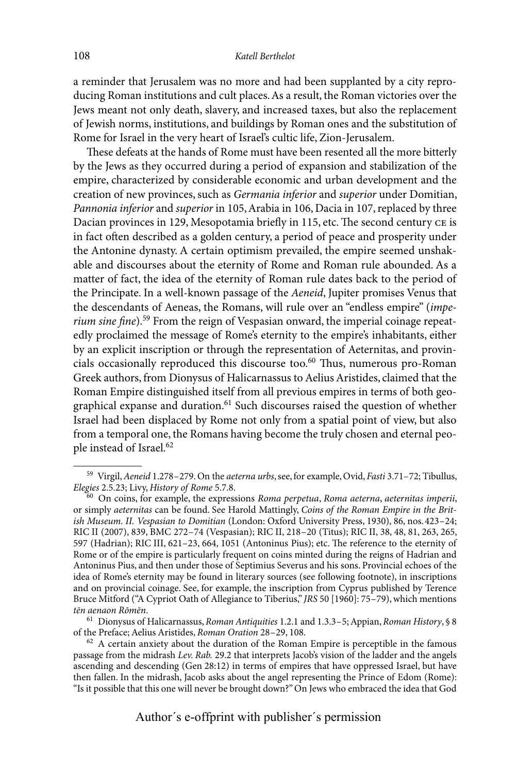a reminder that Jerusalem was no more and had been supplanted by a city reproducing Roman institutions and cult places. As a result, the Roman victories over the Jews meant not only death, slavery, and increased taxes, but also the replacement of Jewish norms, institutions, and buildings by Roman ones and the substitution of Rome for Israel in the very heart of Israel's cultic life, Zion-Jerusalem.

These defeats at the hands of Rome must have been resented all the more bitterly by the Jews as they occurred during a period of expansion and stabilization of the empire, characterized by considerable economic and urban development and the creation of new provinces, such as *Germania inferior* and *superior* under Domitian, *Pannonia inferior* and *superior* in 105, Arabia in 106, Dacia in 107, replaced by three Dacian provinces in 129, Mesopotamia briefly in 115, etc. The second century ce is in fact often described as a golden century, a period of peace and prosperity under the Antonine dynasty. A certain optimism prevailed, the empire seemed unshakable and discourses about the eternity of Rome and Roman rule abounded. As a matter of fact, the idea of the eternity of Roman rule dates back to the period of the Principate. In a well-known passage of the *Aeneid*, Jupiter promises Venus that the descendants of Aeneas, the Romans, will rule over an "endless empire" (*imperium sine fine*).59 From the reign of Vespasian onward, the imperial coinage repeatedly proclaimed the message of Rome's eternity to the empire's inhabitants, either by an explicit inscription or through the representation of Aeternitas, and provincials occasionally reproduced this discourse too.<sup>60</sup> Thus, numerous pro-Roman Greek authors, from Dionysus of Halicarnassus to Aelius Aristides, claimed that the Roman Empire distinguished itself from all previous empires in terms of both geographical expanse and duration.<sup>61</sup> Such discourses raised the question of whether Israel had been displaced by Rome not only from a spatial point of view, but also from a temporal one, the Romans having become the truly chosen and eternal people instead of Israel.<sup>62</sup>

<sup>59</sup> Virgil, *Aeneid* 1.278–279. On the *aeterna urbs*, see, for example, Ovid, *Fasti* 3.71–72; Tibullus,

*Elegies* 2.5.23; Livy, *History of Rome* 5.7.8. <sup>60</sup> On coins, for example, the expressions *Roma perpetua*, *Roma aeterna*, *aeternitas imperii*, or simply *aeternitas* can be found. See Harold Mattingly, *Coins of the Roman Empire in the British Museum. II. Vespasian to Domitian* (London: Oxford University Press, 1930), 86, nos.423–24; RIC II (2007), 839, BMC 272–74 (Vespasian); RIC II, 218–20 (Titus); RIC II, 38, 48, 81, 263, 265, 597 (Hadrian); RIC III, 621–23, 664, 1051 (Antoninus Pius); etc. The reference to the eternity of Rome or of the empire is particularly frequent on coins minted during the reigns of Hadrian and Antoninus Pius, and then under those of Septimius Severus and his sons. Provincial echoes of the idea of Rome's eternity may be found in literary sources (see following footnote), in inscriptions and on provincial coinage. See, for example, the inscription from Cyprus published by Terence Bruce Mitford ("A Cypriot Oath of Allegiance to Tiberius," *JRS* 50 [1960]: 75–79), which mentions

*tēn aenaon Rōmēn*. <sup>61</sup> Dionysus of Halicarnassus, *Roman Antiquities* 1.2.1 and 1.3.3–5; Appian, *Roman History*, § <sup>8</sup>

<sup>&</sup>lt;sup>62</sup> A certain anxiety about the duration of the Roman Empire is perceptible in the famous passage from the midrash *Lev. Rab.* 29.2 that interprets Jacob's vision of the ladder and the angels ascending and descending (Gen 28:12) in terms of empires that have oppressed Israel, but have then fallen. In the midrash, Jacob asks about the angel representing the Prince of Edom (Rome): "Is it possible that this one will never be brought down?" On Jews who embraced the idea that God